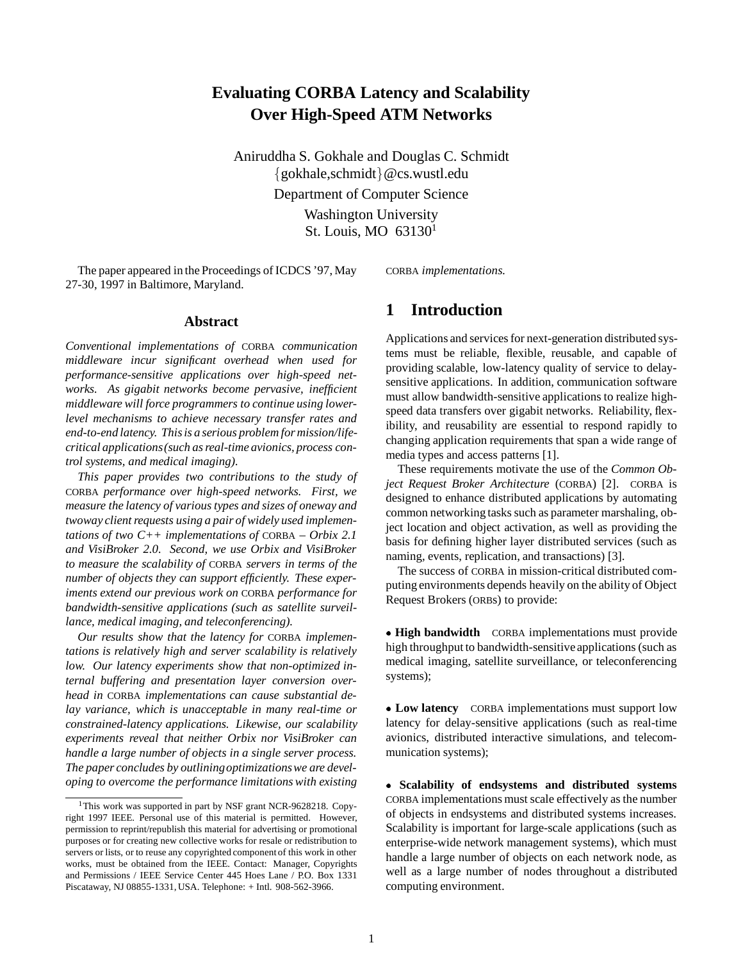# **Evaluating CORBA Latency and Scalability Over High-Speed ATM Networks**

Aniruddha S. Gokhale and Douglas C. Schmidt  $\{gokhale, schmidt\}$ @cs.wustl.edu Department of Computer Science Washington University St. Louis, MO 631301

The paper appeared in the Proceedings of ICDCS '97, May 27-30, 1997 in Baltimore, Maryland.

CORBA *implementations.*

### **Abstract**

*Conventional implementations of* CORBA *communication middleware incur significant overhead when used for performance-sensitive applications over high-speed networks. As gigabit networks become pervasive, inefficient middleware will force programmers to continue using lowerlevel mechanisms to achieve necessary transfer rates and end-to-end latency. This is a serious problem for mission/lifecritical applications(such as real-time avionics, process control systems, and medical imaging).*

*This paper provides two contributions to the study of* CORBA *performance over high-speed networks. First, we measure the latency of various types and sizes of oneway and twoway client requests using a pair of widely used implementations of two C++ implementations of* CORBA *– Orbix 2.1 and VisiBroker 2.0. Second, we use Orbix and VisiBroker to measure the scalability of* CORBA *servers in terms of the number of objects they can support efficiently. These experiments extend our previous work on* CORBA *performance for bandwidth-sensitive applications (such as satellite surveillance, medical imaging, and teleconferencing).*

*Our results show that the latency for* CORBA *implementations is relatively high and server scalability is relatively low. Our latency experiments show that non-optimized internal buffering and presentation layer conversion overhead in* CORBA *implementations can cause substantial delay variance, which is unacceptable in many real-time or constrained-latency applications. Likewise, our scalability experiments reveal that neither Orbix nor VisiBroker can handle a large number of objects in a single server process. The paper concludes by outliningoptimizationswe are developing to overcome the performance limitations with existing*

## **1 Introduction**

Applications and services for next-generation distributed systems must be reliable, flexible, reusable, and capable of providing scalable, low-latency quality of service to delaysensitive applications. In addition, communication software must allow bandwidth-sensitive applications to realize highspeed data transfers over gigabit networks. Reliability, flexibility, and reusability are essential to respond rapidly to changing application requirements that span a wide range of media types and access patterns [1].

These requirements motivate the use of the *Common Object Request Broker Architecture* (CORBA) [2]. CORBA is designed to enhance distributed applications by automating common networking tasks such as parameter marshaling, object location and object activation, as well as providing the basis for defining higher layer distributed services (such as naming, events, replication, and transactions) [3].

The success of CORBA in mission-critical distributed computing environments depends heavily on the ability of Object Request Brokers (ORBs) to provide:

 **High bandwidth** CORBA implementations must provide high throughput to bandwidth-sensitive applications (such as medical imaging, satellite surveillance, or teleconferencing systems);

 **Low latency** CORBA implementations must support low latency for delay-sensitive applications (such as real-time avionics, distributed interactive simulations, and telecommunication systems);

 **Scalability of endsystems and distributed systems** CORBA implementations must scale effectively as the number of objects in endsystems and distributed systems increases. Scalability is important for large-scale applications (such as enterprise-wide network management systems), which must handle a large number of objects on each network node, as well as a large number of nodes throughout a distributed computing environment.

<sup>&</sup>lt;sup>1</sup>This work was supported in part by NSF grant NCR-9628218. Copyright 1997 IEEE. Personal use of this material is permitted. However, permission to reprint/republish this material for advertising or promotional purposes or for creating new collective works for resale or redistribution to servers or lists, or to reuse any copyrighted component of this work in other works, must be obtained from the IEEE. Contact: Manager, Copyrights and Permissions / IEEE Service Center 445 Hoes Lane / P.O. Box 1331 Piscataway, NJ 08855-1331, USA. Telephone: + Intl. 908-562-3966.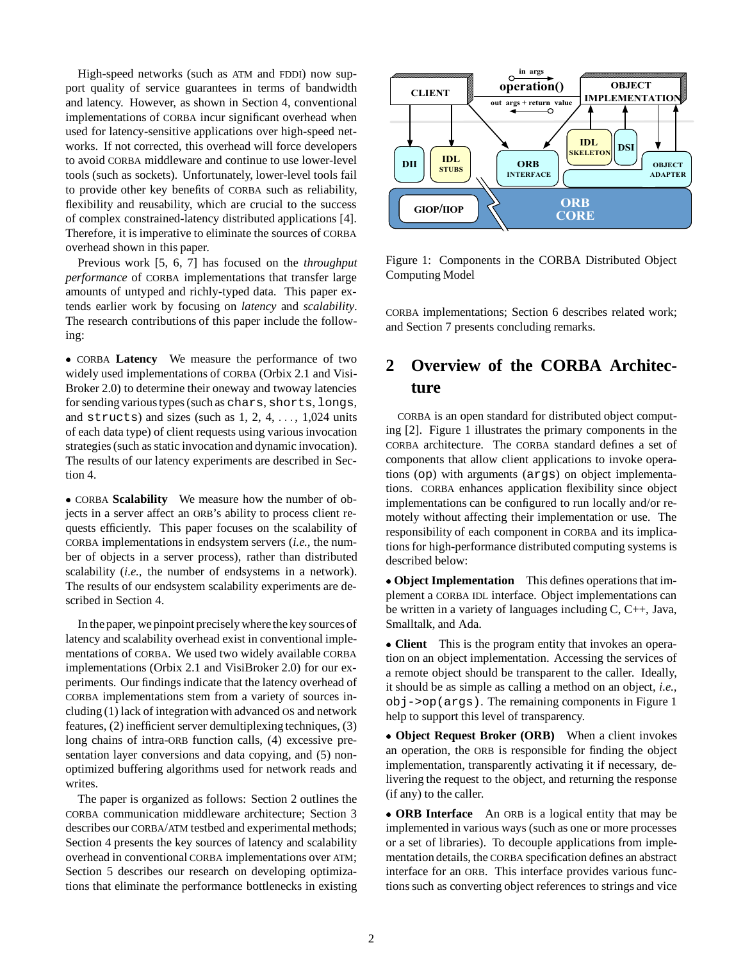High-speed networks (such as ATM and FDDI) now support quality of service guarantees in terms of bandwidth and latency. However, as shown in Section 4, conventional implementations of CORBA incur significant overhead when used for latency-sensitive applications over high-speed networks. If not corrected, this overhead will force developers to avoid CORBA middleware and continue to use lower-level tools (such as sockets). Unfortunately, lower-level tools fail to provide other key benefits of CORBA such as reliability, flexibility and reusability, which are crucial to the success of complex constrained-latency distributed applications [4]. Therefore, it is imperative to eliminate the sources of CORBA overhead shown in this paper.

Previous work [5, 6, 7] has focused on the *throughput performance* of CORBA implementations that transfer large amounts of untyped and richly-typed data. This paper extends earlier work by focusing on *latency* and *scalability*. The research contributions of this paper include the following:

 CORBA **Latency** We measure the performance of two widely used implementations of CORBA (Orbix 2.1 and Visi-Broker 2.0) to determine their oneway and twoway latencies for sending various types (such as chars, shorts, longs, and structs) and sizes (such as  $1, 2, 4, \ldots, 1,024$  units of each data type) of client requests using various invocation strategies (such as static invocation and dynamic invocation). The results of our latency experiments are described in Section 4.

 CORBA **Scalability** We measure how the number of objects in a server affect an ORB's ability to process client requests efficiently. This paper focuses on the scalability of CORBA implementations in endsystem servers (*i.e.,* the number of objects in a server process), rather than distributed scalability (*i.e.,* the number of endsystems in a network). The results of our endsystem scalability experiments are described in Section 4.

In the paper, we pinpoint precisely where the key sources of latency and scalability overhead exist in conventional implementations of CORBA. We used two widely available CORBA implementations (Orbix 2.1 and VisiBroker 2.0) for our experiments. Our findings indicate that the latency overhead of CORBA implementations stem from a variety of sources including (1) lack of integration with advanced OS and network features, (2) inefficient server demultiplexing techniques, (3) long chains of intra-ORB function calls, (4) excessive presentation layer conversions and data copying, and (5) nonoptimized buffering algorithms used for network reads and writes.

The paper is organized as follows: Section 2 outlines the CORBA communication middleware architecture; Section 3 describes our CORBA/ATM testbed and experimental methods; Section 4 presents the key sources of latency and scalability overhead in conventional CORBA implementations over ATM; Section 5 describes our research on developing optimizations that eliminate the performance bottlenecks in existing



Figure 1: Components in the CORBA Distributed Object Computing Model

CORBA implementations; Section 6 describes related work; and Section 7 presents concluding remarks.

# **2 Overview of the CORBA Architecture**

CORBA is an open standard for distributed object computing [2]. Figure 1 illustrates the primary components in the CORBA architecture. The CORBA standard defines a set of components that allow client applications to invoke operations (op) with arguments (args) on object implementations. CORBA enhances application flexibility since object implementations can be configured to run locally and/or remotely without affecting their implementation or use. The responsibility of each component in CORBA and its implications for high-performance distributed computing systems is described below:

 **Object Implementation** This defines operations that implement a CORBA IDL interface. Object implementations can be written in a variety of languages including C, C++, Java, Smalltalk, and Ada.

 **Client** This is the program entity that invokes an operation on an object implementation. Accessing the services of a remote object should be transparent to the caller. Ideally, it should be as simple as calling a method on an object, *i.e.,* obj->op(args). The remaining components in Figure 1 help to support this level of transparency.

 **Object Request Broker (ORB)** When a client invokes an operation, the ORB is responsible for finding the object implementation, transparently activating it if necessary, delivering the request to the object, and returning the response (if any) to the caller.

 **ORB Interface** An ORB is a logical entity that may be implemented in various ways (such as one or more processes or a set of libraries). To decouple applications from implementation details, the CORBA specification defines an abstract interface for an ORB. This interface provides various functions such as converting object references to strings and vice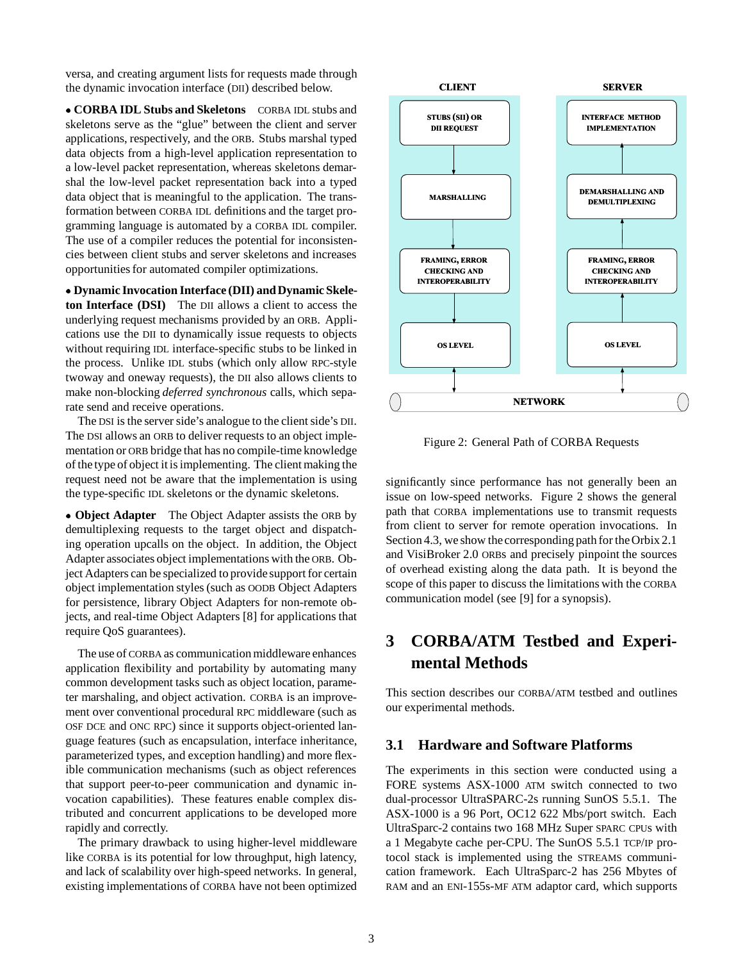versa, and creating argument lists for requests made through the dynamic invocation interface (DII) described below.

 **CORBA IDL Stubs and Skeletons** CORBA IDL stubs and skeletons serve as the "glue" between the client and server applications, respectively, and the ORB. Stubs marshal typed data objects from a high-level application representation to a low-level packet representation, whereas skeletons demarshal the low-level packet representation back into a typed data object that is meaningful to the application. The transformation between CORBA IDL definitions and the target programming language is automated by a CORBA IDL compiler. The use of a compiler reduces the potential for inconsistencies between client stubs and server skeletons and increases opportunities for automated compiler optimizations.

 **Dynamic Invocation Interface (DII) and Dynamic Skeleton Interface (DSI)** The DII allows a client to access the underlying request mechanisms provided by an ORB. Applications use the DII to dynamically issue requests to objects without requiring IDL interface-specific stubs to be linked in the process. Unlike IDL stubs (which only allow RPC-style twoway and oneway requests), the DII also allows clients to make non-blocking *deferred synchronous* calls, which separate send and receive operations.

The DSI is the server side's analogue to the client side's DII. The DSI allows an ORB to deliver requests to an object implementation or ORB bridge that has no compile-time knowledge of the type of object it is implementing. The client making the request need not be aware that the implementation is using the type-specific IDL skeletons or the dynamic skeletons.

 **Object Adapter** The Object Adapter assists the ORB by demultiplexing requests to the target object and dispatching operation upcalls on the object. In addition, the Object Adapter associates object implementations with the ORB. Object Adapters can be specialized to provide support for certain object implementation styles (such as OODB Object Adapters for persistence, library Object Adapters for non-remote objects, and real-time Object Adapters [8] for applications that require QoS guarantees).

The use of CORBA as communication middleware enhances application flexibility and portability by automating many common development tasks such as object location, parameter marshaling, and object activation. CORBA is an improvement over conventional procedural RPC middleware (such as OSF DCE and ONC RPC) since it supports object-oriented language features (such as encapsulation, interface inheritance, parameterized types, and exception handling) and more flexible communication mechanisms (such as object references that support peer-to-peer communication and dynamic invocation capabilities). These features enable complex distributed and concurrent applications to be developed more rapidly and correctly.

The primary drawback to using higher-level middleware like CORBA is its potential for low throughput, high latency, and lack of scalability over high-speed networks. In general, existing implementations of CORBA have not been optimized



Figure 2: General Path of CORBA Requests

significantly since performance has not generally been an issue on low-speed networks. Figure 2 shows the general path that CORBA implementations use to transmit requests from client to server for remote operation invocations. In Section 4.3, we show the corresponding path for the Orbix 2.1 and VisiBroker 2.0 ORBs and precisely pinpoint the sources of overhead existing along the data path. It is beyond the scope of this paper to discuss the limitations with the CORBA communication model (see [9] for a synopsis).

# **3 CORBA/ATM Testbed and Experimental Methods**

This section describes our CORBA/ATM testbed and outlines our experimental methods.

### **3.1 Hardware and Software Platforms**

The experiments in this section were conducted using a FORE systems ASX-1000 ATM switch connected to two dual-processor UltraSPARC-2s running SunOS 5.5.1. The ASX-1000 is a 96 Port, OC12 622 Mbs/port switch. Each UltraSparc-2 contains two 168 MHz Super SPARC CPUs with a 1 Megabyte cache per-CPU. The SunOS 5.5.1 TCP/IP protocol stack is implemented using the STREAMS communication framework. Each UltraSparc-2 has 256 Mbytes of RAM and an ENI-155s-MF ATM adaptor card, which supports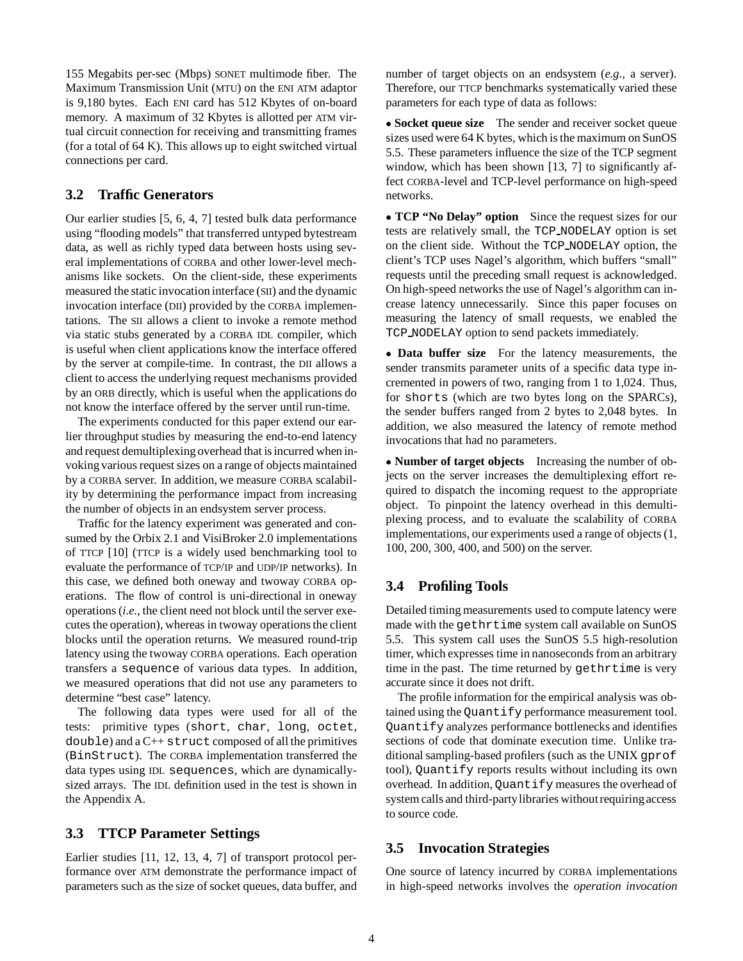155 Megabits per-sec (Mbps) SONET multimode fiber. The Maximum Transmission Unit (MTU) on the ENI ATM adaptor is 9,180 bytes. Each ENI card has 512 Kbytes of on-board memory. A maximum of 32 Kbytes is allotted per ATM virtual circuit connection for receiving and transmitting frames (for a total of 64 K). This allows up to eight switched virtual connections per card.

### **3.2 Traffic Generators**

Our earlier studies [5, 6, 4, 7] tested bulk data performance using "flooding models" that transferred untyped bytestream data, as well as richly typed data between hosts using several implementations of CORBA and other lower-level mechanisms like sockets. On the client-side, these experiments measured the static invocation interface (SII) and the dynamic invocation interface (DII) provided by the CORBA implementations. The SII allows a client to invoke a remote method via static stubs generated by a CORBA IDL compiler, which is useful when client applications know the interface offered by the server at compile-time. In contrast, the DII allows a client to access the underlying request mechanisms provided by an ORB directly, which is useful when the applications do not know the interface offered by the server until run-time.

The experiments conducted for this paper extend our earlier throughput studies by measuring the end-to-end latency and request demultiplexing overhead that is incurred when invoking various request sizes on a range of objects maintained by a CORBA server. In addition, we measure CORBA scalability by determining the performance impact from increasing the number of objects in an endsystem server process.

Traffic for the latency experiment was generated and consumed by the Orbix 2.1 and VisiBroker 2.0 implementations of TTCP [10] (TTCP is a widely used benchmarking tool to evaluate the performance of TCP/IP and UDP/IP networks). In this case, we defined both oneway and twoway CORBA operations. The flow of control is uni-directional in oneway operations (*i.e.,* the client need not block until the server executes the operation), whereas in twoway operations the client blocks until the operation returns. We measured round-trip latency using the twoway CORBA operations. Each operation transfers a sequence of various data types. In addition, we measured operations that did not use any parameters to determine "best case" latency.

The following data types were used for all of the tests: primitive types (short, char, long, octet, double) and a C++ struct composed of all the primitives (BinStruct). The CORBA implementation transferred the data types using IDL sequences, which are dynamicallysized arrays. The IDL definition used in the test is shown in the Appendix A.

## **3.3 TTCP Parameter Settings**

Earlier studies [11, 12, 13, 4, 7] of transport protocol performance over ATM demonstrate the performance impact of parameters such as the size of socket queues, data buffer, and

number of target objects on an endsystem (*e.g.,* a server). Therefore, our TTCP benchmarks systematically varied these parameters for each type of data as follows:

 **Socket queue size** The sender and receiver socket queue sizes used were 64 K bytes, which is the maximum on SunOS 5.5. These parameters influence the size of the TCP segment window, which has been shown [13, 7] to significantly affect CORBA-level and TCP-level performance on high-speed networks.

 **TCP "No Delay" option** Since the request sizes for our tests are relatively small, the TCP NODELAY option is set on the client side. Without the TCP NODELAY option, the client's TCP uses Nagel's algorithm, which buffers "small" requests until the preceding small request is acknowledged. On high-speed networks the use of Nagel's algorithm can increase latency unnecessarily. Since this paper focuses on measuring the latency of small requests, we enabled the TCP NODELAY option to send packets immediately.

 **Data buffer size** For the latency measurements, the sender transmits parameter units of a specific data type incremented in powers of two, ranging from 1 to 1,024. Thus, for shorts (which are two bytes long on the SPARCs), the sender buffers ranged from 2 bytes to 2,048 bytes. In addition, we also measured the latency of remote method invocations that had no parameters.

 **Number of target objects** Increasing the number of objects on the server increases the demultiplexing effort required to dispatch the incoming request to the appropriate object. To pinpoint the latency overhead in this demultiplexing process, and to evaluate the scalability of CORBA implementations, our experiments used a range of objects (1, 100, 200, 300, 400, and 500) on the server.

### **3.4 Profiling Tools**

Detailed timing measurements used to compute latency were made with the gethrtime system call available on SunOS 5.5. This system call uses the SunOS 5.5 high-resolution timer, which expresses time in nanoseconds from an arbitrary time in the past. The time returned by gethrtime is very accurate since it does not drift.

The profile information for the empirical analysis was obtained using the Quantify performance measurement tool. Quantify analyzes performance bottlenecks and identifies sections of code that dominate execution time. Unlike traditional sampling-based profilers (such as the UNIX gprof tool), Quantify reports results without including its own overhead. In addition, Quantify measures the overhead of system calls and third-partylibraries without requiringaccess to source code.

### **3.5 Invocation Strategies**

One source of latency incurred by CORBA implementations in high-speed networks involves the *operation invocation*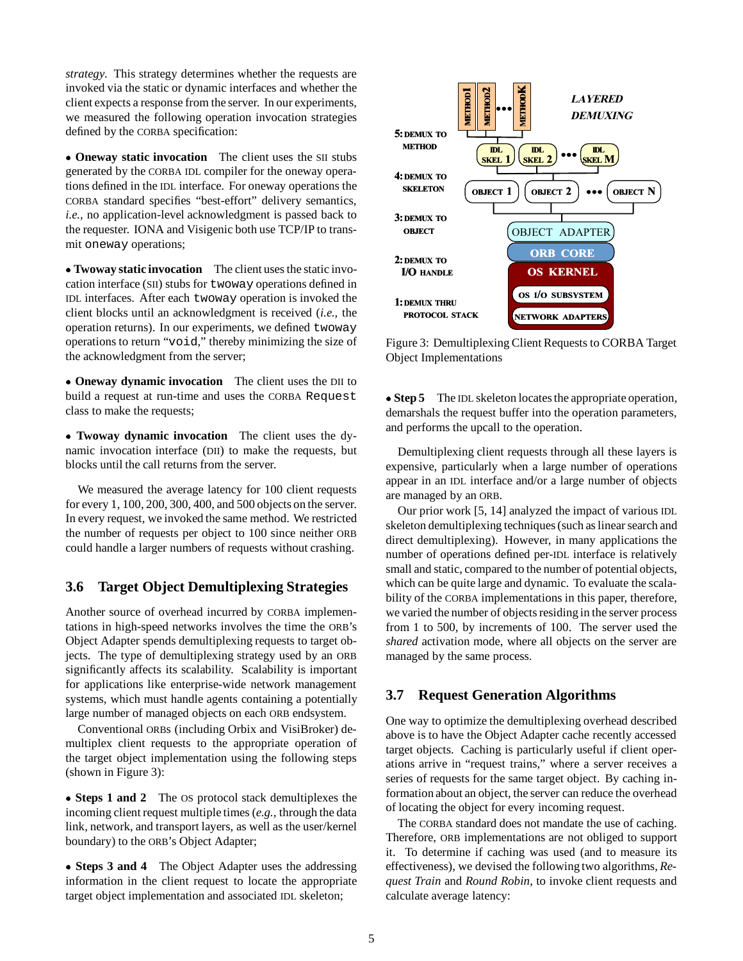*strategy*. This strategy determines whether the requests are invoked via the static or dynamic interfaces and whether the client expects a response from the server. In our experiments, we measured the following operation invocation strategies defined by the CORBA specification:

 **Oneway static invocation** The client uses the SII stubs generated by the CORBA IDL compiler for the oneway operations defined in the IDL interface. For oneway operations the CORBA standard specifies "best-effort" delivery semantics, *i.e.,* no application-level acknowledgment is passed back to the requester. IONA and Visigenic both use TCP/IP to transmit oneway operations;

 **Twoway static invocation** The client uses the static invocation interface (SII) stubs for twoway operations defined in IDL interfaces. After each twoway operation is invoked the client blocks until an acknowledgment is received (*i.e.,* the operation returns). In our experiments, we defined twoway operations to return "void," thereby minimizing the size of the acknowledgment from the server;

 **Oneway dynamic invocation** The client uses the DII to build a request at run-time and uses the CORBA Request class to make the requests;

 **Twoway dynamic invocation** The client uses the dynamic invocation interface (DII) to make the requests, but blocks until the call returns from the server.

We measured the average latency for 100 client requests for every 1, 100, 200, 300, 400, and 500 objects on the server. In every request, we invoked the same method. We restricted the number of requests per object to 100 since neither ORB could handle a larger numbers of requests without crashing.

## **3.6 Target Object Demultiplexing Strategies**

Another source of overhead incurred by CORBA implementations in high-speed networks involves the time the ORB's Object Adapter spends demultiplexing requests to target objects. The type of demultiplexing strategy used by an ORB significantly affects its scalability. Scalability is important for applications like enterprise-wide network management systems, which must handle agents containing a potentially large number of managed objects on each ORB endsystem.

Conventional ORBs (including Orbix and VisiBroker) demultiplex client requests to the appropriate operation of the target object implementation using the following steps (shown in Figure 3):

 **Steps 1 and 2** The OS protocol stack demultiplexes the incoming client request multiple times (*e.g.,* through the data link, network, and transport layers, as well as the user/kernel boundary) to the ORB's Object Adapter;

 **Steps 3 and 4** The Object Adapter uses the addressing information in the client request to locate the appropriate target object implementation and associated IDL skeleton;



Figure 3: Demultiplexing Client Requests to CORBA Target Object Implementations

**Step 5** The IDL skeleton locates the appropriate operation, demarshals the request buffer into the operation parameters, and performs the upcall to the operation.

Demultiplexing client requests through all these layers is expensive, particularly when a large number of operations appear in an IDL interface and/or a large number of objects are managed by an ORB.

Our prior work [5, 14] analyzed the impact of various IDL skeleton demultiplexing techniques (such as linear search and direct demultiplexing). However, in many applications the number of operations defined per-IDL interface is relatively small and static, compared to the number of potential objects, which can be quite large and dynamic. To evaluate the scalability of the CORBA implementations in this paper, therefore, we varied the number of objects residing in the server process from 1 to 500, by increments of 100. The server used the *shared* activation mode, where all objects on the server are managed by the same process.

## **3.7 Request Generation Algorithms**

One way to optimize the demultiplexing overhead described above is to have the Object Adapter cache recently accessed target objects. Caching is particularly useful if client operations arrive in "request trains," where a server receives a series of requests for the same target object. By caching information about an object, the server can reduce the overhead of locating the object for every incoming request.

The CORBA standard does not mandate the use of caching. Therefore, ORB implementations are not obliged to support it. To determine if caching was used (and to measure its effectiveness), we devised the following two algorithms, *Request Train* and *Round Robin*, to invoke client requests and calculate average latency: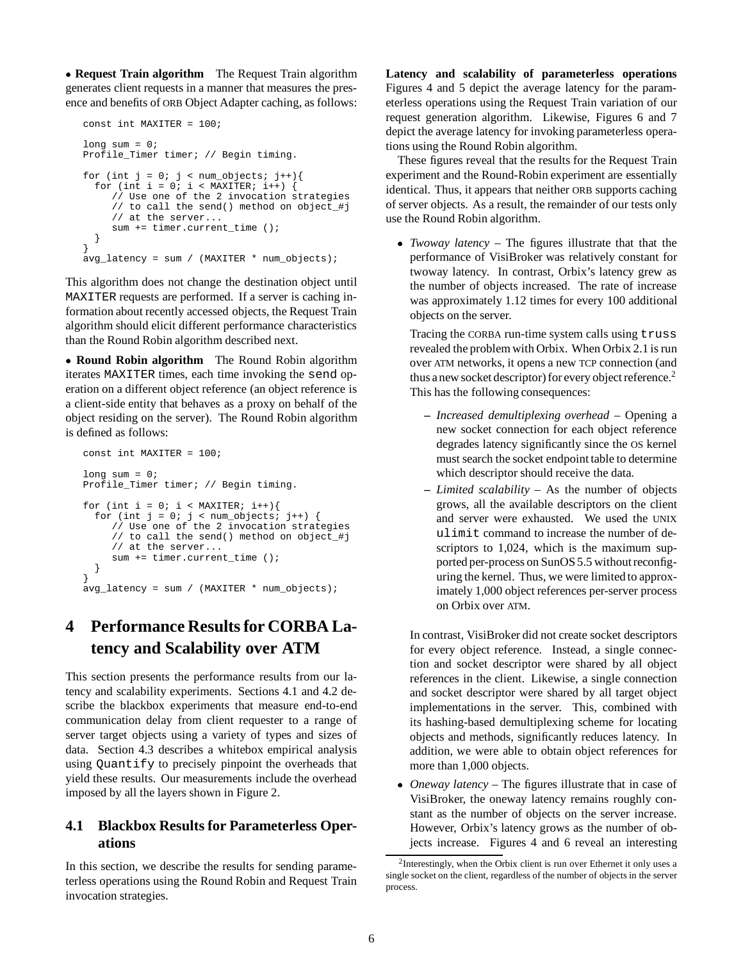**Request Train algorithm** The Request Train algorithm generates client requests in a manner that measures the presence and benefits of ORB Object Adapter caching, as follows:

```
const int MAXITER = 100;
long sum = 0;Profile_Timer timer; // Begin timing.
for (int j = 0; j < num\_objects; j++){
  for (int i = 0; i < \text{MAXITER}; i++) {
     // Use one of the 2 invocation strategies
     // to call the send() method on object_#j
     // at the server...
     sum += timer.current time ();
  }
}
avg_latency = sum / (MAXITER * num_objects);
```
This algorithm does not change the destination object until MAXITER requests are performed. If a server is caching information about recently accessed objects, the Request Train algorithm should elicit different performance characteristics than the Round Robin algorithm described next.

 **Round Robin algorithm** The Round Robin algorithm iterates MAXITER times, each time invoking the send operation on a different object reference (an object reference is a client-side entity that behaves as a proxy on behalf of the object residing on the server). The Round Robin algorithm is defined as follows:

```
const int MAXITER = 100;
long sum = 0;Profile_Timer timer; // Begin timing.
for (int i = 0; i < MAXITER; i++){
  for (int j = 0; j < num objects; j_{++}) {
     // Use one of the 2 invocation strategies
     // to call the send() method on object_#j
     // at the server...
     sum += timer.current_time ();
  }
}
avg_latency = sum / (MAXITER * num_objects);
```
# **4 Performance Results for CORBA Latency and Scalability over ATM**

This section presents the performance results from our latency and scalability experiments. Sections 4.1 and 4.2 describe the blackbox experiments that measure end-to-end communication delay from client requester to a range of server target objects using a variety of types and sizes of data. Section 4.3 describes a whitebox empirical analysis using Quantify to precisely pinpoint the overheads that yield these results. Our measurements include the overhead imposed by all the layers shown in Figure 2.

## **4.1 Blackbox Results for Parameterless Operations**

In this section, we describe the results for sending parameterless operations using the Round Robin and Request Train invocation strategies.

**Latency and scalability of parameterless operations** Figures 4 and 5 depict the average latency for the parameterless operations using the Request Train variation of our request generation algorithm. Likewise, Figures 6 and 7 depict the average latency for invoking parameterless operations using the Round Robin algorithm.

These figures reveal that the results for the Request Train experiment and the Round-Robin experiment are essentially identical. Thus, it appears that neither ORB supports caching of server objects. As a result, the remainder of our tests only use the Round Robin algorithm.

 *Twoway latency* – The figures illustrate that that the performance of VisiBroker was relatively constant for twoway latency. In contrast, Orbix's latency grew as the number of objects increased. The rate of increase was approximately 1.12 times for every 100 additional objects on the server.

Tracing the CORBA run-time system calls using truss revealed the problem with Orbix. When Orbix 2.1 is run over ATM networks, it opens a new TCP connection (and thus a new socket descriptor) for every object reference.<sup>2</sup> This has the following consequences:

- **–** *Increased demultiplexing overhead* Opening a new socket connection for each object reference degrades latency significantly since the OS kernel must search the socket endpoint table to determine which descriptor should receive the data.
- **–** *Limited scalability* As the number of objects grows, all the available descriptors on the client and server were exhausted. We used the UNIX ulimit command to increase the number of descriptors to 1,024, which is the maximum supported per-process on SunOS 5.5 without reconfiguring the kernel. Thus, we were limited to approximately 1,000 object references per-server process on Orbix over ATM.

In contrast, VisiBroker did not create socket descriptors for every object reference. Instead, a single connection and socket descriptor were shared by all object references in the client. Likewise, a single connection and socket descriptor were shared by all target object implementations in the server. This, combined with its hashing-based demultiplexing scheme for locating objects and methods, significantly reduces latency. In addition, we were able to obtain object references for more than 1,000 objects.

 *Oneway latency* – The figures illustrate that in case of VisiBroker, the oneway latency remains roughly constant as the number of objects on the server increase. However, Orbix's latency grows as the number of objects increase. Figures 4 and 6 reveal an interesting

<sup>2</sup>Interestingly, when the Orbix client is run over Ethernet it only uses a single socket on the client, regardless of the number of objects in the server process.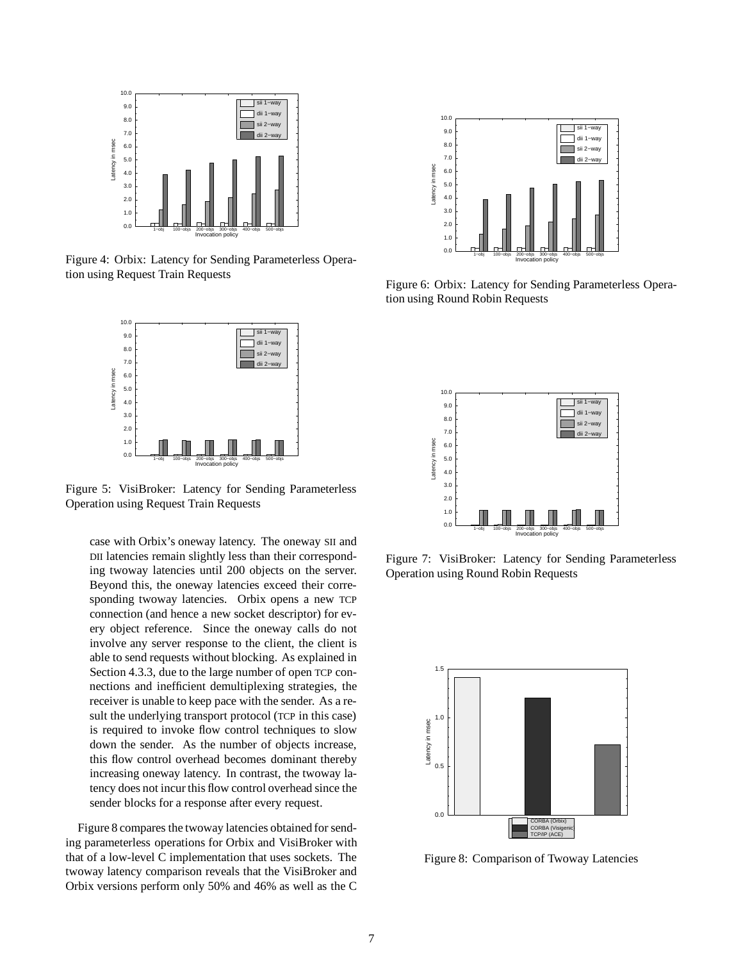

Figure 4: Orbix: Latency for Sending Parameterless Operation using Request Train Requests



Figure 5: VisiBroker: Latency for Sending Parameterless Operation using Request Train Requests

case with Orbix's oneway latency. The oneway SII and DII latencies remain slightly less than their corresponding twoway latencies until 200 objects on the server. Beyond this, the oneway latencies exceed their corresponding twoway latencies. Orbix opens a new TCP connection (and hence a new socket descriptor) for every object reference. Since the oneway calls do not involve any server response to the client, the client is able to send requests without blocking. As explained in Section 4.3.3, due to the large number of open TCP connections and inefficient demultiplexing strategies, the receiver is unable to keep pace with the sender. As a result the underlying transport protocol (TCP in this case) is required to invoke flow control techniques to slow down the sender. As the number of objects increase, this flow control overhead becomes dominant thereby increasing oneway latency. In contrast, the twoway latency does not incur this flow control overhead since the sender blocks for a response after every request.

Figure 8 compares the twoway latencies obtained for sending parameterless operations for Orbix and VisiBroker with that of a low-level C implementation that uses sockets. The twoway latency comparison reveals that the VisiBroker and Orbix versions perform only 50% and 46% as well as the C



Figure 6: Orbix: Latency for Sending Parameterless Operation using Round Robin Requests



Figure 7: VisiBroker: Latency for Sending Parameterless Operation using Round Robin Requests



Figure 8: Comparison of Twoway Latencies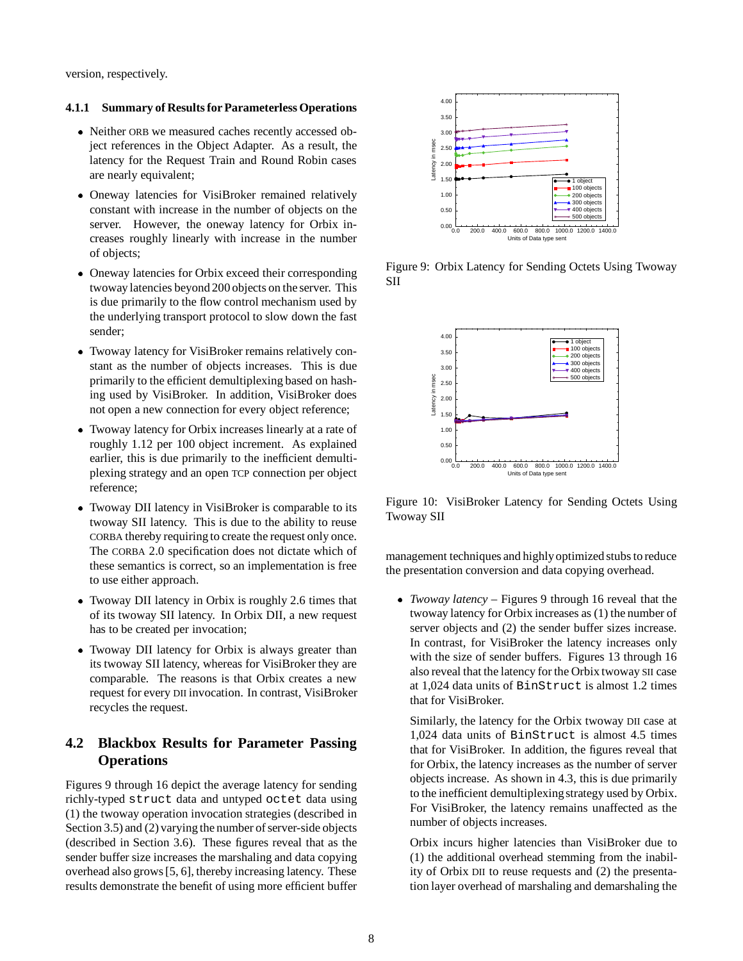version, respectively.

#### **4.1.1 Summary of Results for Parameterless Operations**

- Neither ORB we measured caches recently accessed object references in the Object Adapter. As a result, the latency for the Request Train and Round Robin cases are nearly equivalent;
- Oneway latencies for VisiBroker remained relatively constant with increase in the number of objects on the server. However, the oneway latency for Orbix increases roughly linearly with increase in the number of objects;
- Oneway latencies for Orbix exceed their corresponding twoway latencies beyond 200 objects on the server. This is due primarily to the flow control mechanism used by the underlying transport protocol to slow down the fast sender;
- Twoway latency for VisiBroker remains relatively constant as the number of objects increases. This is due primarily to the efficient demultiplexing based on hashing used by VisiBroker. In addition, VisiBroker does not open a new connection for every object reference;
- Twoway latency for Orbix increases linearly at a rate of roughly 1.12 per 100 object increment. As explained earlier, this is due primarily to the inefficient demultiplexing strategy and an open TCP connection per object reference;
- Twoway DII latency in VisiBroker is comparable to its twoway SII latency. This is due to the ability to reuse CORBA thereby requiring to create the request only once. The CORBA 2.0 specification does not dictate which of these semantics is correct, so an implementation is free to use either approach.
- Twoway DII latency in Orbix is roughly 2.6 times that of its twoway SII latency. In Orbix DII, a new request has to be created per invocation;
- Twoway DII latency for Orbix is always greater than its twoway SII latency, whereas for VisiBroker they are comparable. The reasons is that Orbix creates a new request for every DII invocation. In contrast, VisiBroker recycles the request.

## **4.2 Blackbox Results for Parameter Passing Operations**

Figures 9 through 16 depict the average latency for sending richly-typed struct data and untyped octet data using (1) the twoway operation invocation strategies (described in Section 3.5) and (2) varying the number of server-side objects (described in Section 3.6). These figures reveal that as the sender buffer size increases the marshaling and data copying overhead also grows [5, 6], thereby increasing latency. These results demonstrate the benefit of using more efficient buffer



Figure 9: Orbix Latency for Sending Octets Using Twoway SII



Figure 10: VisiBroker Latency for Sending Octets Using Twoway SII

management techniques and highlyoptimized stubs to reduce the presentation conversion and data copying overhead.

 *Twoway latency* – Figures 9 through 16 reveal that the twoway latency for Orbix increases as (1) the number of server objects and (2) the sender buffer sizes increase. In contrast, for VisiBroker the latency increases only with the size of sender buffers. Figures 13 through 16 also reveal that the latency for the Orbix twoway SII case at 1,024 data units of BinStruct is almost 1.2 times that for VisiBroker.

Similarly, the latency for the Orbix twoway DII case at 1,024 data units of BinStruct is almost 4.5 times that for VisiBroker. In addition, the figures reveal that for Orbix, the latency increases as the number of server objects increase. As shown in 4.3, this is due primarily to the inefficient demultiplexingstrategy used by Orbix. For VisiBroker, the latency remains unaffected as the number of objects increases.

Orbix incurs higher latencies than VisiBroker due to (1) the additional overhead stemming from the inability of Orbix DII to reuse requests and (2) the presentation layer overhead of marshaling and demarshaling the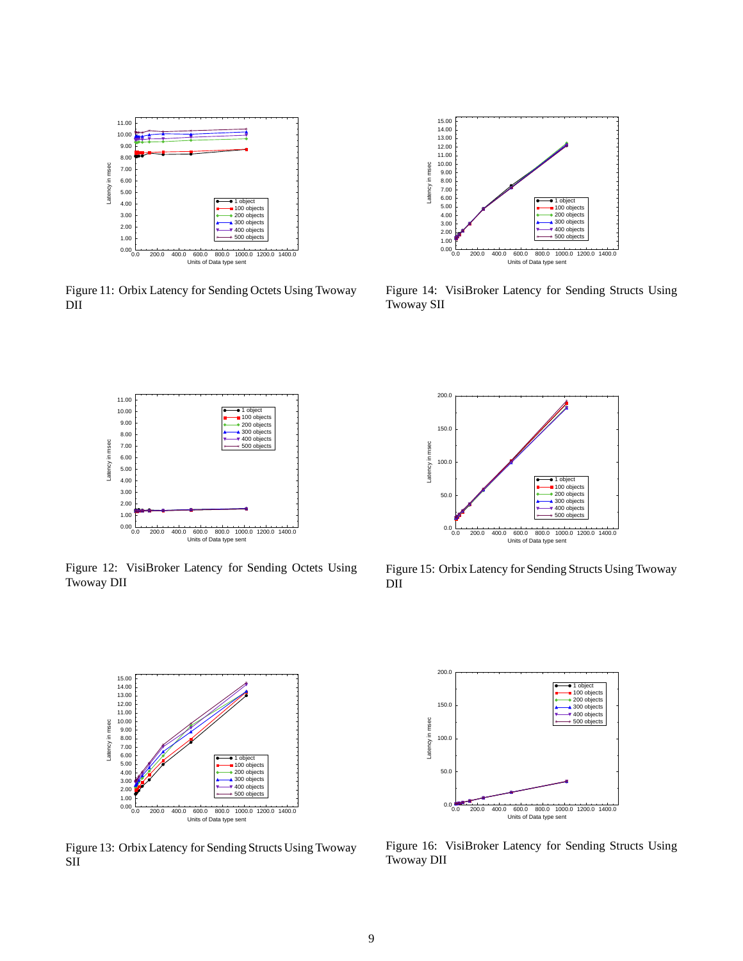

Figure 11: Orbix Latency for Sending Octets Using Twoway DII



Figure 14: VisiBroker Latency for Sending Structs Using Twoway SII

![](_page_8_Figure_4.jpeg)

Figure 12: VisiBroker Latency for Sending Octets Using Twoway DII

![](_page_8_Figure_6.jpeg)

Figure 15: Orbix Latency for Sending Structs Using Twoway DII

![](_page_8_Figure_8.jpeg)

Figure 13: Orbix Latency for Sending Structs Using Twoway SII

![](_page_8_Figure_10.jpeg)

Figure 16: VisiBroker Latency for Sending Structs Using Twoway DII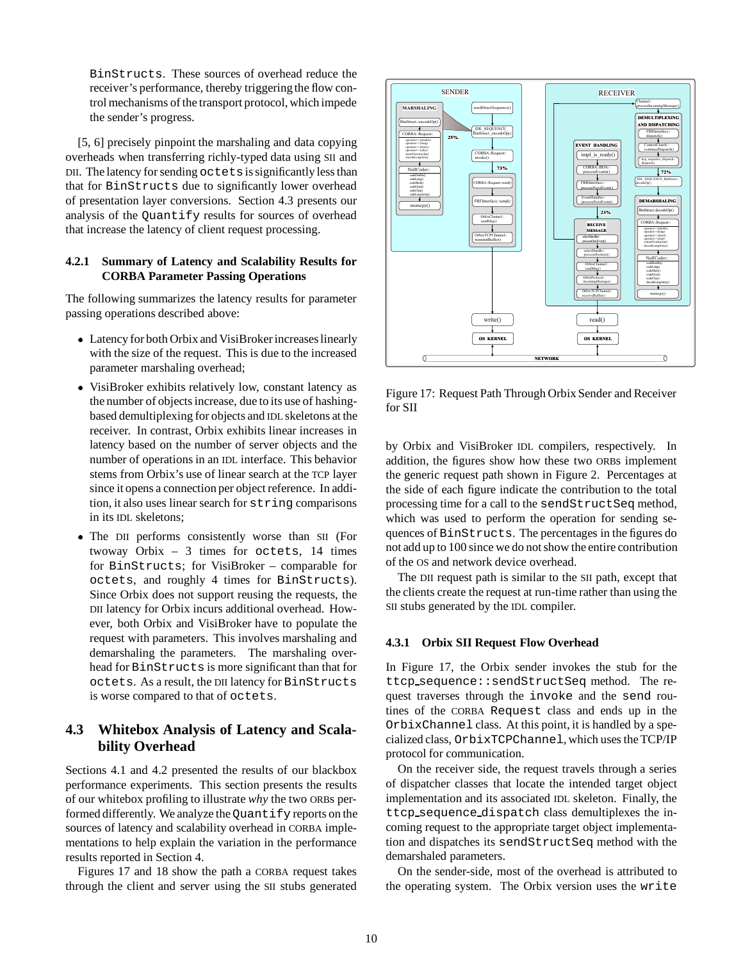BinStructs. These sources of overhead reduce the receiver's performance, thereby triggering the flow control mechanisms of the transport protocol, which impede the sender's progress.

[5, 6] precisely pinpoint the marshaling and data copying overheads when transferring richly-typed data using SII and DII. The latency for sending octetsis significantly less than that for BinStructs due to significantly lower overhead of presentation layer conversions. Section 4.3 presents our analysis of the Quantify results for sources of overhead that increase the latency of client request processing.

#### **4.2.1 Summary of Latency and Scalability Results for CORBA Parameter Passing Operations**

The following summarizes the latency results for parameter passing operations described above:

- Latency for both Orbix and VisiBroker increases linearly with the size of the request. This is due to the increased parameter marshaling overhead;
- VisiBroker exhibits relatively low, constant latency as the number of objects increase, due to its use of hashingbased demultiplexing for objects and IDL skeletons at the receiver. In contrast, Orbix exhibits linear increases in latency based on the number of server objects and the number of operations in an IDL interface. This behavior stems from Orbix's use of linear search at the TCP layer since it opens a connection per object reference. In addition, it also uses linear search for string comparisons in its IDL skeletons;
- The DII performs consistently worse than SII (For twoway Orbix – 3 times for octets, 14 times for BinStructs; for VisiBroker – comparable for octets, and roughly 4 times for BinStructs). Since Orbix does not support reusing the requests, the DII latency for Orbix incurs additional overhead. However, both Orbix and VisiBroker have to populate the request with parameters. This involves marshaling and demarshaling the parameters. The marshaling overhead for BinStructs is more significant than that for octets. As a result, the DII latency for BinStructs is worse compared to that of octets.

## **4.3 Whitebox Analysis of Latency and Scalability Overhead**

Sections 4.1 and 4.2 presented the results of our blackbox performance experiments. This section presents the results of our whitebox profiling to illustrate *why* the two ORBs performed differently. We analyze the Quantify reports on the sources of latency and scalability overhead in CORBA implementations to help explain the variation in the performance results reported in Section 4.

Figures 17 and 18 show the path a CORBA request takes through the client and server using the SII stubs generated

![](_page_9_Figure_10.jpeg)

Figure 17: Request Path Through Orbix Sender and Receiver for SII

by Orbix and VisiBroker IDL compilers, respectively. In addition, the figures show how these two ORBs implement the generic request path shown in Figure 2. Percentages at the side of each figure indicate the contribution to the total processing time for a call to the sendStructSeq method, which was used to perform the operation for sending sequences of BinStructs. The percentages in the figures do not add up to 100 since we do not show the entire contribution of the OS and network device overhead.

The DII request path is similar to the SII path, except that the clients create the request at run-time rather than using the SII stubs generated by the IDL compiler.

#### **4.3.1 Orbix SII Request Flow Overhead**

In Figure 17, the Orbix sender invokes the stub for the ttcp sequence::sendStructSeq method. The request traverses through the invoke and the send routines of the CORBA Request class and ends up in the OrbixChannel class. At this point, it is handled by a specialized class, OrbixTCPChannel, which uses the TCP/IP protocol for communication.

On the receiver side, the request travels through a series of dispatcher classes that locate the intended target object implementation and its associated IDL skeleton. Finally, the ttcp sequence dispatch class demultiplexes the incoming request to the appropriate target object implementation and dispatches its sendStructSeq method with the demarshaled parameters.

On the sender-side, most of the overhead is attributed to the operating system. The Orbix version uses the write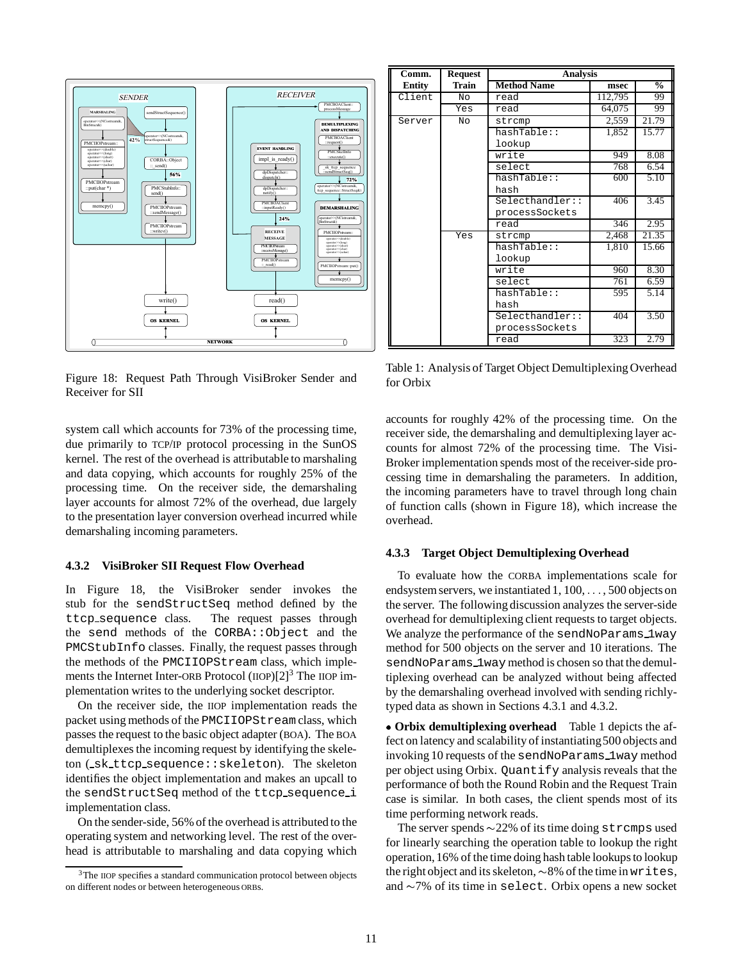![](_page_10_Figure_0.jpeg)

Figure 18: Request Path Through VisiBroker Sender and Receiver for SII

| Comm.  | Request | <b>Analysis</b>    |         |               |
|--------|---------|--------------------|---------|---------------|
| Entity | Train   | <b>Method Name</b> | msec    | $\frac{0}{2}$ |
| Client | NΩ      | read               | 112,795 | 99            |
|        | Yes     | read               | 64,075  | 99            |
| Server | No      | strcmp             | 2,559   | 21.79         |
|        |         | hashTable::        | 1,852   | 15.77         |
|        |         | lookup             |         |               |
|        |         | write              | 949     | 8.08          |
|        |         | select             | 768     | 6.54          |
|        |         | hashTable::        | 600     | 5.10          |
|        |         | hash               |         |               |
|        |         | Selecthandler::    | 406     | 3.45          |
|        |         | processSockets     |         |               |
|        |         | read               | 346     | 2.95          |
|        | Yes     | strcmp             | 2,468   | 21.35         |
|        |         | hashTable::        | 1,810   | 15.66         |
|        |         | lookup             |         |               |
|        |         | write              | 960     | 8.30          |
|        |         | select             | 761     | 6.59          |
|        |         | hashTable::        | 595     | 5.14          |
|        |         | hash               |         |               |
|        |         | Selecthandler:     | 404     | 3.50          |
|        |         | processSockets     |         |               |
|        |         | read               | 323     | 2.79          |

Table 1: Analysis of Target Object Demultiplexing Overhead for Orbix

system call which accounts for 73% of the processing time, due primarily to TCP/IP protocol processing in the SunOS kernel. The rest of the overhead is attributable to marshaling and data copying, which accounts for roughly 25% of the processing time. On the receiver side, the demarshaling layer accounts for almost 72% of the overhead, due largely to the presentation layer conversion overhead incurred while demarshaling incoming parameters.

#### **4.3.2 VisiBroker SII Request Flow Overhead**

In Figure 18, the VisiBroker sender invokes the stub for the sendStructSeq method defined by the ttcp sequence class. The request passes through the send methods of the CORBA::Object and the PMCStubInfo classes. Finally, the request passes through the methods of the PMCIIOPStream class, which implements the Internet Inter-ORB Protocol  $(IIOP)[2]^3$  The IIOP implementation writes to the underlying socket descriptor.

On the receiver side, the IIOP implementation reads the packet using methods of the PMCIIOPStream class, which passes the request to the basic object adapter (BOA). The BOA demultiplexes the incoming request by identifying the skeleton ( sk ttcp sequence::skeleton). The skeleton identifies the object implementation and makes an upcall to the sendStructSeq method of the ttcp sequence i implementation class.

On the sender-side, 56% of the overhead is attributed to the operating system and networking level. The rest of the overhead is attributable to marshaling and data copying which

accounts for roughly 42% of the processing time. On the receiver side, the demarshaling and demultiplexing layer accounts for almost 72% of the processing time. The Visi-Broker implementation spends most of the receiver-side processing time in demarshaling the parameters. In addition, the incoming parameters have to travel through long chain of function calls (shown in Figure 18), which increase the overhead.

#### **4.3.3 Target Object Demultiplexing Overhead**

To evaluate how the CORBA implementations scale for endsystem servers, we instantiated 1, 100, ..., 500 objects on the server. The following discussion analyzes the server-side overhead for demultiplexing client requests to target objects. We analyze the performance of the sendNoParams\_1way method for 500 objects on the server and 10 iterations. The sendNoParams lway method is chosen so that the demultiplexing overhead can be analyzed without being affected by the demarshaling overhead involved with sending richlytyped data as shown in Sections 4.3.1 and 4.3.2.

 **Orbix demultiplexing overhead** Table 1 depicts the affect on latency and scalability of instantiating 500 objects and invoking 10 requests of the sendNoParams 1way method per object using Orbix. Quantify analysis reveals that the performance of both the Round Robin and the Request Train case is similar. In both cases, the client spends most of its time performing network reads.

The server spends  $\sim$  22% of its time doing strcmps used for linearly searching the operation table to lookup the right operation, 16% of the time doing hash table lookups to lookup the right object and its skeleton,  $\sim 8\%$  of the time in writes, and  $\sim$  7% of its time in select. Orbix opens a new socket

<sup>&</sup>lt;sup>3</sup>The IIOP specifies a standard communication protocol between objects on different nodes or between heterogeneous ORBs.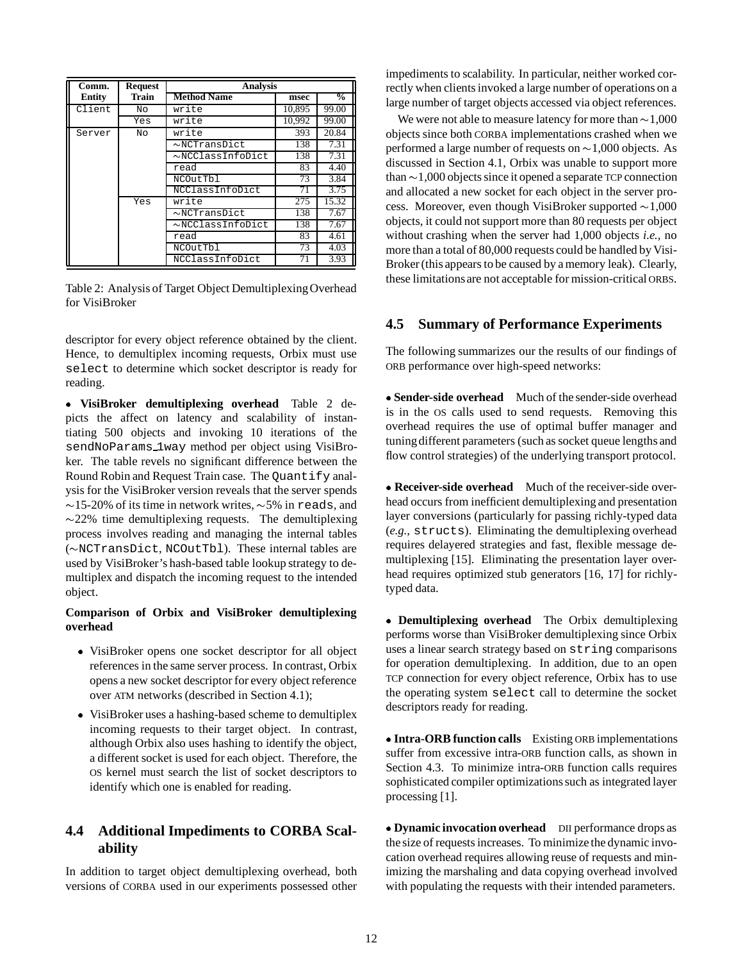| Comm.  | <b>Request</b> | <b>Analysis</b>        |        |               |
|--------|----------------|------------------------|--------|---------------|
| Entity | Train          | <b>Method Name</b>     | msec   | $\frac{0}{0}$ |
| Client | No             | write                  | 10,895 | 99.00         |
|        | Yes            | write                  | 10,992 | 99.00         |
| Server | Nο             | write                  | 393    | 20.84         |
|        |                | $\sim$ NCTransDict     | 138    | 7.31          |
|        |                | $\sim$ NCClassInfoDict | 138    | 7.31          |
|        |                | read                   | 83     | 4.40          |
|        |                | NCOutTbl               | 73     | 3.84          |
|        |                | NCClassInfoDict        | 71     | 3.75          |
|        | Yes            | write                  | 275    | 15.32         |
|        |                | $\sim$ NCTransDict     | 138    | 7.67          |
|        |                | $\sim$ NCClassInfoDict | 138    | 7.67          |
|        |                | read                   | 83     | 4.61          |
|        |                | NCOutTbl               | 73     | 4.03          |
|        |                | NCClassInfoDict        | 71     | 3.93          |

Table 2: Analysis of Target Object DemultiplexingOverhead for VisiBroker

descriptor for every object reference obtained by the client. Hence, to demultiplex incoming requests, Orbix must use select to determine which socket descriptor is ready for reading.

 **VisiBroker demultiplexing overhead** Table 2 depicts the affect on latency and scalability of instantiating 500 objects and invoking 10 iterations of the sendNoParams 1way method per object using VisiBroker. The table revels no significant difference between the Round Robin and Request Train case. The Quantify analysis for the VisiBroker version reveals that the server spends  $\sim$ 15-20% of its time in network writes,  $\sim$ 5% in reads, and  $\sim$ 22% time demultiplexing requests. The demultiplexing process involves reading and managing the internal tables  $(\sim$ NCTransDict, NCOutTbl). These internal tables are used by VisiBroker's hash-based table lookup strategy to demultiplex and dispatch the incoming request to the intended object.

### **Comparison of Orbix and VisiBroker demultiplexing overhead**

- VisiBroker opens one socket descriptor for all object references in the same server process. In contrast, Orbix opens a new socket descriptor for every object reference over ATM networks (described in Section 4.1);
- VisiBroker uses a hashing-based scheme to demultiplex incoming requests to their target object. In contrast, although Orbix also uses hashing to identify the object, a different socket is used for each object. Therefore, the OS kernel must search the list of socket descriptors to identify which one is enabled for reading.

## **4.4 Additional Impediments to CORBA Scalability**

In addition to target object demultiplexing overhead, both versions of CORBA used in our experiments possessed other

impediments to scalability. In particular, neither worked correctly when clients invoked a large number of operations on a large number of target objects accessed via object references.

We were not able to measure latency for more than  $\sim$  1,000 objects since both CORBA implementations crashed when we performed a large number of requests on  $\sim$  1,000 objects. As discussed in Section 4.1, Orbix was unable to support more than  $\sim$  1,000 objects since it opened a separate TCP connection and allocated a new socket for each object in the server process. Moreover, even though VisiBroker supported  $\sim$  1,000 objects, it could not support more than 80 requests per object without crashing when the server had 1,000 objects *i.e.,* no more than a total of 80,000 requests could be handled by Visi-Broker (this appears to be caused by a memory leak). Clearly, these limitationsare not acceptable for mission-critical ORBS.

## **4.5 Summary of Performance Experiments**

The following summarizes our the results of our findings of ORB performance over high-speed networks:

 **Sender-side overhead** Much of the sender-side overhead is in the OS calls used to send requests. Removing this overhead requires the use of optimal buffer manager and tuningdifferent parameters (such as socket queue lengths and flow control strategies) of the underlying transport protocol.

 **Receiver-side overhead** Much of the receiver-side overhead occurs from inefficient demultiplexing and presentation layer conversions (particularly for passing richly-typed data (*e.g.,* structs). Eliminating the demultiplexing overhead requires delayered strategies and fast, flexible message demultiplexing [15]. Eliminating the presentation layer overhead requires optimized stub generators [16, 17] for richlytyped data.

 **Demultiplexing overhead** The Orbix demultiplexing performs worse than VisiBroker demultiplexing since Orbix uses a linear search strategy based on string comparisons for operation demultiplexing. In addition, due to an open TCP connection for every object reference, Orbix has to use the operating system select call to determine the socket descriptors ready for reading.

 **Intra-ORB function calls** Existing ORB implementations suffer from excessive intra-ORB function calls, as shown in Section 4.3. To minimize intra-ORB function calls requires sophisticated compiler optimizations such as integrated layer processing [1].

**• Dynamic invocation overhead** DII performance drops as the size of requests increases. To minimize the dynamic invocation overhead requires allowing reuse of requests and minimizing the marshaling and data copying overhead involved with populating the requests with their intended parameters.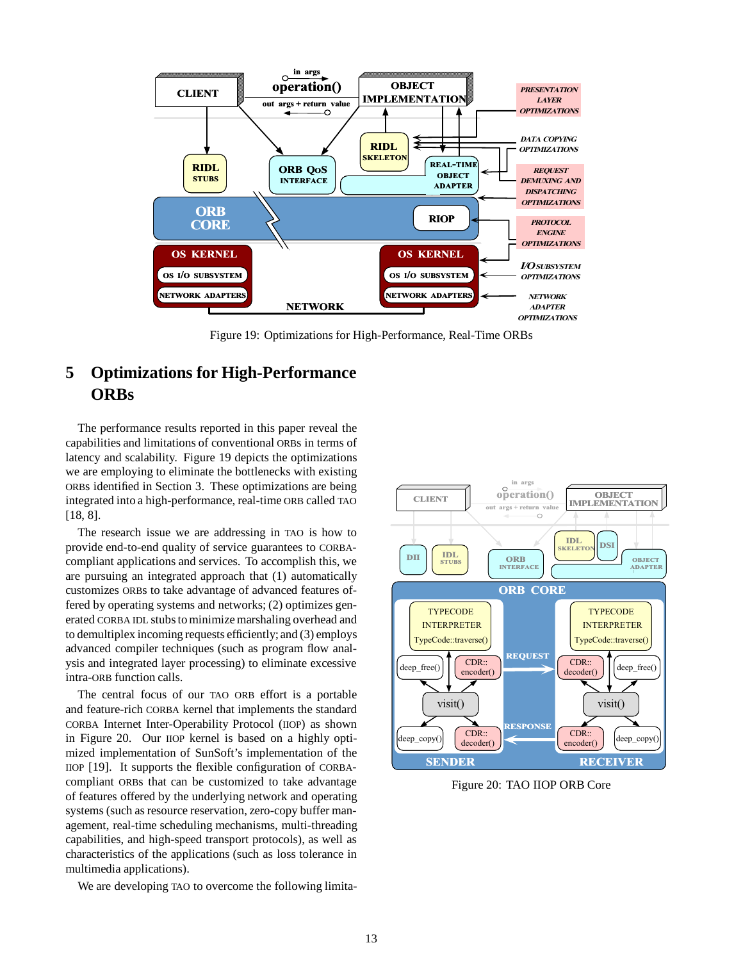![](_page_12_Figure_0.jpeg)

Figure 19: Optimizations for High-Performance, Real-Time ORBs

# **5 Optimizations for High-Performance ORBs**

The performance results reported in this paper reveal the capabilities and limitations of conventional ORBs in terms of latency and scalability. Figure 19 depicts the optimizations we are employing to eliminate the bottlenecks with existing ORBs identified in Section 3. These optimizations are being integrated into a high-performance, real-time ORB called TAO [18, 8].

The research issue we are addressing in TAO is how to provide end-to-end quality of service guarantees to CORBAcompliant applications and services. To accomplish this, we are pursuing an integrated approach that (1) automatically customizes ORBs to take advantage of advanced features offered by operating systems and networks; (2) optimizes generated CORBA IDL stubs to minimize marshaling overhead and to demultiplex incoming requests efficiently; and (3) employs advanced compiler techniques (such as program flow analysis and integrated layer processing) to eliminate excessive intra-ORB function calls.

The central focus of our TAO ORB effort is a portable and feature-rich CORBA kernel that implements the standard CORBA Internet Inter-Operability Protocol (IIOP) as shown in Figure 20. Our IIOP kernel is based on a highly optimized implementation of SunSoft's implementation of the IIOP [19]. It supports the flexible configuration of CORBAcompliant ORBs that can be customized to take advantage of features offered by the underlying network and operating systems (such as resource reservation, zero-copy buffer management, real-time scheduling mechanisms, multi-threading capabilities, and high-speed transport protocols), as well as characteristics of the applications (such as loss tolerance in multimedia applications).

We are developing TAO to overcome the following limita-

![](_page_12_Figure_7.jpeg)

Figure 20: TAO IIOP ORB Core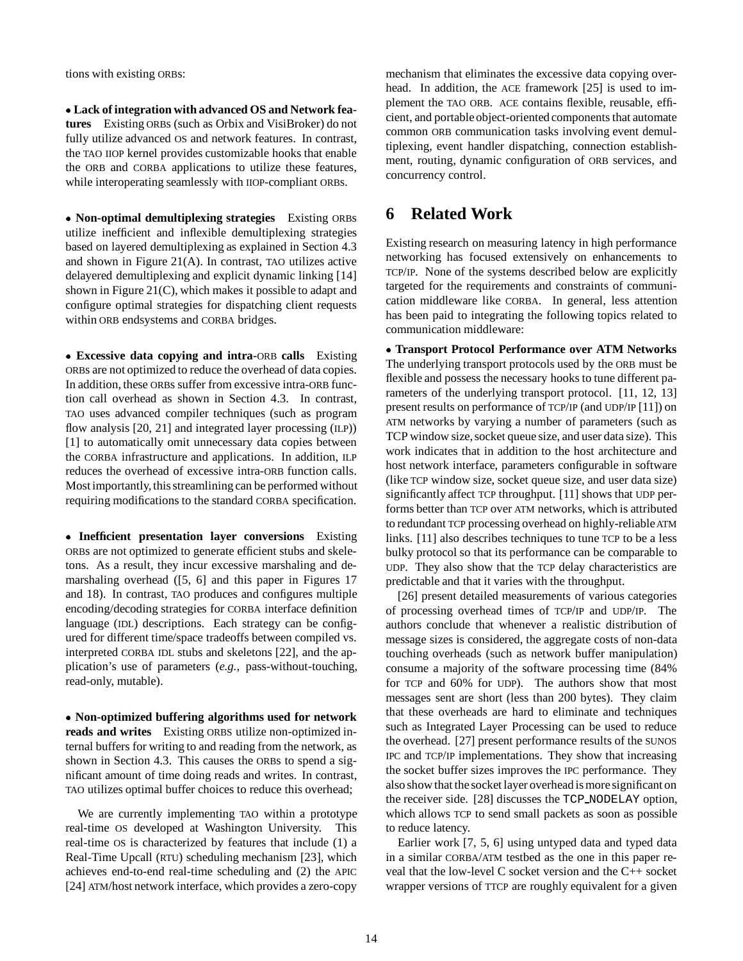tions with existing ORBs:

 **Lack of integration with advanced OS and Network features** Existing ORBs (such as Orbix and VisiBroker) do not fully utilize advanced OS and network features. In contrast, the TAO IIOP kernel provides customizable hooks that enable the ORB and CORBA applications to utilize these features, while interoperating seamlessly with IIOP-compliant ORBs.

 **Non-optimal demultiplexing strategies** Existing ORBs utilize inefficient and inflexible demultiplexing strategies based on layered demultiplexing as explained in Section 4.3 and shown in Figure 21(A). In contrast, TAO utilizes active delayered demultiplexing and explicit dynamic linking [14] shown in Figure 21(C), which makes it possible to adapt and configure optimal strategies for dispatching client requests within ORB endsystems and CORBA bridges.

 **Excessive data copying and intra-**ORB **calls** Existing ORBs are not optimized to reduce the overhead of data copies. In addition, these ORBs suffer from excessive intra-ORB function call overhead as shown in Section 4.3. In contrast, TAO uses advanced compiler techniques (such as program flow analysis [20, 21] and integrated layer processing (ILP)) [1] to automatically omit unnecessary data copies between the CORBA infrastructure and applications. In addition, ILP reduces the overhead of excessive intra-ORB function calls. Most importantly, this streamlining can be performed without requiring modifications to the standard CORBA specification.

 **Inefficient presentation layer conversions** Existing ORBs are not optimized to generate efficient stubs and skeletons. As a result, they incur excessive marshaling and demarshaling overhead ([5, 6] and this paper in Figures 17 and 18). In contrast, TAO produces and configures multiple encoding/decoding strategies for CORBA interface definition language (IDL) descriptions. Each strategy can be configured for different time/space tradeoffs between compiled vs. interpreted CORBA IDL stubs and skeletons [22], and the application's use of parameters (*e.g.*, pass-without-touching, read-only, mutable).

 **Non-optimized buffering algorithms used for network reads and writes** Existing ORBS utilize non-optimized internal buffers for writing to and reading from the network, as shown in Section 4.3. This causes the ORBs to spend a significant amount of time doing reads and writes. In contrast, TAO utilizes optimal buffer choices to reduce this overhead;

We are currently implementing TAO within a prototype real-time OS developed at Washington University. This real-time OS is characterized by features that include (1) a Real-Time Upcall (RTU) scheduling mechanism [23], which achieves end-to-end real-time scheduling and (2) the APIC [24] ATM/host network interface, which provides a zero-copy

mechanism that eliminates the excessive data copying overhead. In addition, the ACE framework [25] is used to implement the TAO ORB. ACE contains flexible, reusable, efficient, and portable object-oriented components that automate common ORB communication tasks involving event demultiplexing, event handler dispatching, connection establishment, routing, dynamic configuration of ORB services, and concurrency control.

# **6 Related Work**

Existing research on measuring latency in high performance networking has focused extensively on enhancements to TCP/IP. None of the systems described below are explicitly targeted for the requirements and constraints of communication middleware like CORBA. In general, less attention has been paid to integrating the following topics related to communication middleware:

 **Transport Protocol Performance over ATM Networks** The underlying transport protocols used by the ORB must be flexible and possess the necessary hooks to tune different parameters of the underlying transport protocol. [11, 12, 13] present results on performance of TCP/IP (and UDP/IP [11]) on ATM networks by varying a number of parameters (such as TCP window size, socket queue size, and user data size). This work indicates that in addition to the host architecture and host network interface, parameters configurable in software (like TCP window size, socket queue size, and user data size) significantly affect TCP throughput. [11] shows that UDP performs better than TCP over ATM networks, which is attributed to redundant TCP processing overhead on highly-reliable ATM links. [11] also describes techniques to tune TCP to be a less bulky protocol so that its performance can be comparable to UDP. They also show that the TCP delay characteristics are predictable and that it varies with the throughput.

[26] present detailed measurements of various categories of processing overhead times of TCP/IP and UDP/IP. The authors conclude that whenever a realistic distribution of message sizes is considered, the aggregate costs of non-data touching overheads (such as network buffer manipulation) consume a majority of the software processing time (84% for TCP and 60% for UDP). The authors show that most messages sent are short (less than 200 bytes). They claim that these overheads are hard to eliminate and techniques such as Integrated Layer Processing can be used to reduce the overhead. [27] present performance results of the SUNOS IPC and TCP/IP implementations. They show that increasing the socket buffer sizes improves the IPC performance. They also show that the socket layer overhead is more significant on the receiver side. [28] discusses the TCP NODELAY option, which allows TCP to send small packets as soon as possible to reduce latency.

Earlier work [7, 5, 6] using untyped data and typed data in a similar CORBA/ATM testbed as the one in this paper reveal that the low-level C socket version and the C++ socket wrapper versions of TTCP are roughly equivalent for a given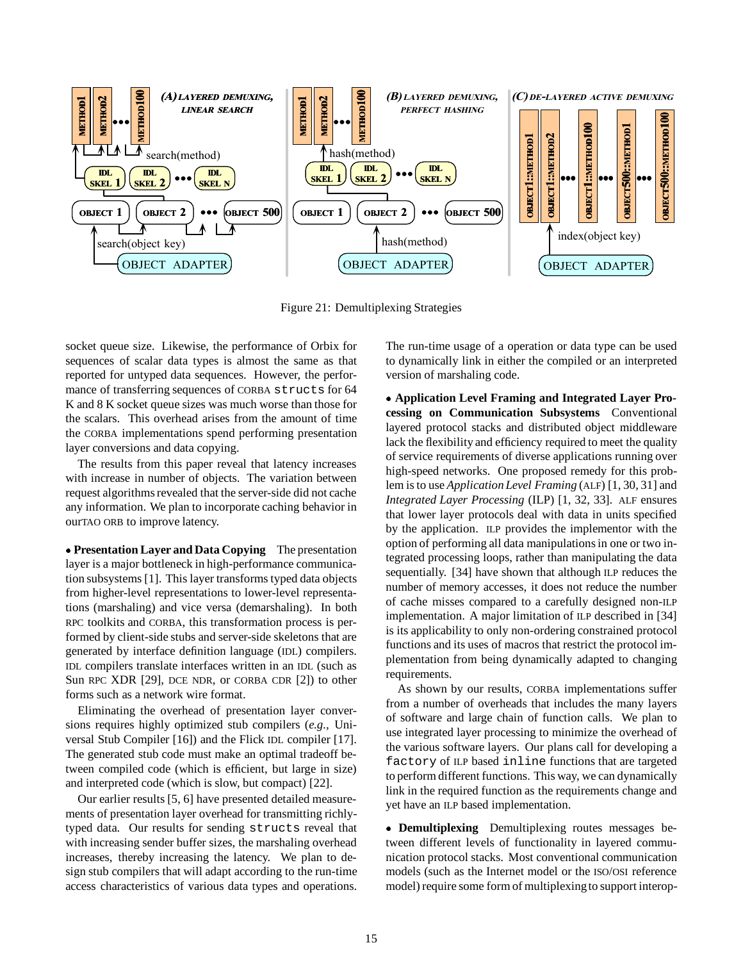![](_page_14_Figure_0.jpeg)

Figure 21: Demultiplexing Strategies

socket queue size. Likewise, the performance of Orbix for sequences of scalar data types is almost the same as that reported for untyped data sequences. However, the performance of transferring sequences of CORBA structs for 64 K and 8 K socket queue sizes was much worse than those for the scalars. This overhead arises from the amount of time the CORBA implementations spend performing presentation layer conversions and data copying.

The results from this paper reveal that latency increases with increase in number of objects. The variation between request algorithms revealed that the server-side did not cache any information. We plan to incorporate caching behavior in ourTAO ORB to improve latency.

 **Presentation Layer and Data Copying** The presentation layer is a major bottleneck in high-performance communication subsystems [1]. This layer transforms typed data objects from higher-level representations to lower-level representations (marshaling) and vice versa (demarshaling). In both RPC toolkits and CORBA, this transformation process is performed by client-side stubs and server-side skeletons that are generated by interface definition language (IDL) compilers. IDL compilers translate interfaces written in an IDL (such as Sun RPC XDR [29], DCE NDR, or CORBA CDR [2]) to other forms such as a network wire format.

Eliminating the overhead of presentation layer conversions requires highly optimized stub compilers (*e.g.,* Universal Stub Compiler [16]) and the Flick IDL compiler [17]. The generated stub code must make an optimal tradeoff between compiled code (which is efficient, but large in size) and interpreted code (which is slow, but compact) [22].

Our earlier results [5, 6] have presented detailed measurements of presentation layer overhead for transmitting richlytyped data. Our results for sending structs reveal that with increasing sender buffer sizes, the marshaling overhead increases, thereby increasing the latency. We plan to design stub compilers that will adapt according to the run-time access characteristics of various data types and operations.

The run-time usage of a operation or data type can be used to dynamically link in either the compiled or an interpreted version of marshaling code.

 **Application Level Framing and Integrated Layer Processing on Communication Subsystems** Conventional layered protocol stacks and distributed object middleware lack the flexibility and efficiency required to meet the quality of service requirements of diverse applications running over high-speed networks. One proposed remedy for this problem is to use *Application Level Framing* (ALF) [1, 30, 31] and *Integrated Layer Processing* (ILP) [1, 32, 33]. ALF ensures that lower layer protocols deal with data in units specified by the application. ILP provides the implementor with the option of performing all data manipulations in one or two integrated processing loops, rather than manipulating the data sequentially. [34] have shown that although ILP reduces the number of memory accesses, it does not reduce the number of cache misses compared to a carefully designed non-ILP implementation. A major limitation of ILP described in [34] is its applicability to only non-ordering constrained protocol functions and its uses of macros that restrict the protocol implementation from being dynamically adapted to changing requirements.

As shown by our results, CORBA implementations suffer from a number of overheads that includes the many layers of software and large chain of function calls. We plan to use integrated layer processing to minimize the overhead of the various software layers. Our plans call for developing a factory of ILP based inline functions that are targeted to perform different functions. This way, we can dynamically link in the required function as the requirements change and yet have an ILP based implementation.

 **Demultiplexing** Demultiplexing routes messages between different levels of functionality in layered communication protocol stacks. Most conventional communication models (such as the Internet model or the ISO/OSI reference model) require some form of multiplexing to support interop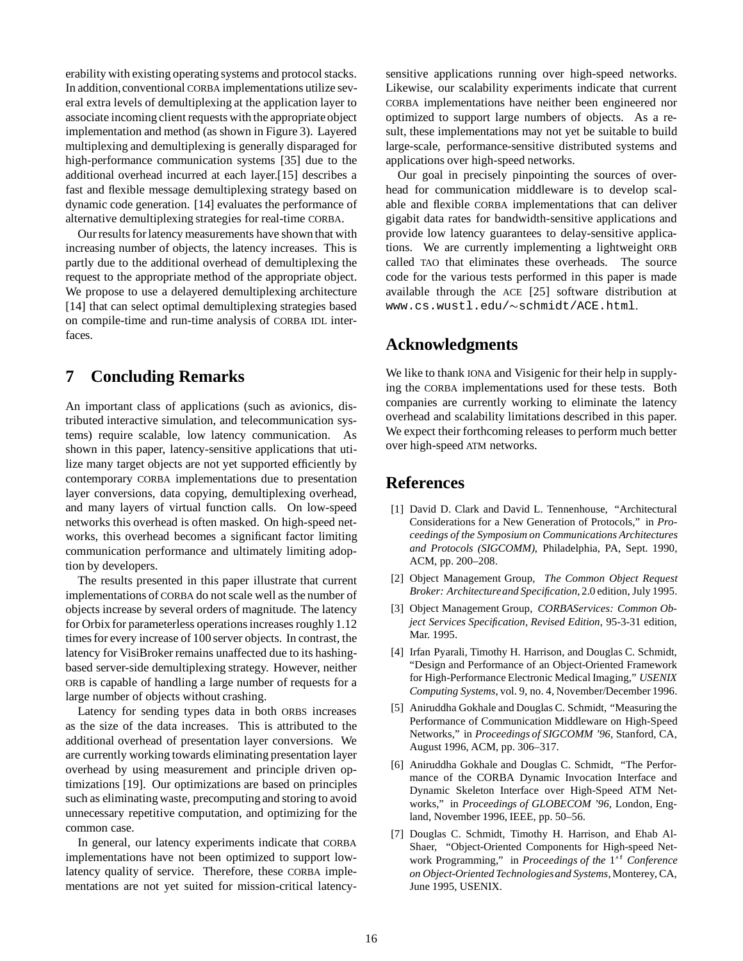erability with existing operating systems and protocol stacks. In addition,conventional CORBA implementations utilize several extra levels of demultiplexing at the application layer to associate incoming client requests with the appropriate object implementation and method (as shown in Figure 3). Layered multiplexing and demultiplexing is generally disparaged for high-performance communication systems [35] due to the additional overhead incurred at each layer.[15] describes a fast and flexible message demultiplexing strategy based on dynamic code generation. [14] evaluates the performance of alternative demultiplexing strategies for real-time CORBA.

Our results for latency measurements have shown that with increasing number of objects, the latency increases. This is partly due to the additional overhead of demultiplexing the request to the appropriate method of the appropriate object. We propose to use a delayered demultiplexing architecture [14] that can select optimal demultiplexing strategies based on compile-time and run-time analysis of CORBA IDL interfaces.

## **7 Concluding Remarks**

An important class of applications (such as avionics, distributed interactive simulation, and telecommunication systems) require scalable, low latency communication. As shown in this paper, latency-sensitive applications that utilize many target objects are not yet supported efficiently by contemporary CORBA implementations due to presentation layer conversions, data copying, demultiplexing overhead, and many layers of virtual function calls. On low-speed networks this overhead is often masked. On high-speed networks, this overhead becomes a significant factor limiting communication performance and ultimately limiting adoption by developers.

The results presented in this paper illustrate that current implementations of CORBA do not scale well as the number of objects increase by several orders of magnitude. The latency for Orbix for parameterless operations increases roughly 1.12 times for every increase of 100 server objects. In contrast, the latency for VisiBroker remains unaffected due to its hashingbased server-side demultiplexing strategy. However, neither ORB is capable of handling a large number of requests for a large number of objects without crashing.

Latency for sending types data in both ORBS increases as the size of the data increases. This is attributed to the additional overhead of presentation layer conversions. We are currently working towards eliminating presentation layer overhead by using measurement and principle driven optimizations [19]. Our optimizations are based on principles such as eliminating waste, precomputing and storing to avoid unnecessary repetitive computation, and optimizing for the common case.

In general, our latency experiments indicate that CORBA implementations have not been optimized to support lowlatency quality of service. Therefore, these CORBA implementations are not yet suited for mission-critical latency-

sensitive applications running over high-speed networks. Likewise, our scalability experiments indicate that current CORBA implementations have neither been engineered nor optimized to support large numbers of objects. As a result, these implementations may not yet be suitable to build large-scale, performance-sensitive distributed systems and applications over high-speed networks.

Our goal in precisely pinpointing the sources of overhead for communication middleware is to develop scalable and flexible CORBA implementations that can deliver gigabit data rates for bandwidth-sensitive applications and provide low latency guarantees to delay-sensitive applications. We are currently implementing a lightweight ORB called TAO that eliminates these overheads. The source code for the various tests performed in this paper is made available through the ACE [25] software distribution at www.cs.wustl.edu/~schmidt/ACE.html.

## **Acknowledgments**

We like to thank IONA and Visigenic for their help in supplying the CORBA implementations used for these tests. Both companies are currently working to eliminate the latency overhead and scalability limitations described in this paper. We expect their forthcoming releases to perform much better over high-speed ATM networks.

## **References**

- [1] David D. Clark and David L. Tennenhouse, "Architectural Considerations for a New Generation of Protocols," in *Proceedings of the Symposium on Communications Architectures and Protocols (SIGCOMM)*, Philadelphia, PA, Sept. 1990, ACM, pp. 200–208.
- [2] Object Management Group, *The Common Object Request Broker: Architectureand Specification*, 2.0 edition, July 1995.
- [3] Object Management Group, *CORBAServices: Common Object Services Specification, Revised Edition*, 95-3-31 edition, Mar. 1995.
- [4] Irfan Pyarali, Timothy H. Harrison, and Douglas C. Schmidt, "Design and Performance of an Object-Oriented Framework for High-Performance Electronic Medical Imaging," *USENIX Computing Systems*, vol. 9, no. 4, November/December 1996.
- [5] Aniruddha Gokhale and Douglas C. Schmidt, "Measuring the Performance of Communication Middleware on High-Speed Networks," in *Proceedings of SIGCOMM '96*, Stanford, CA, August 1996, ACM, pp. 306–317.
- [6] Aniruddha Gokhale and Douglas C. Schmidt, "The Performance of the CORBA Dynamic Invocation Interface and Dynamic Skeleton Interface over High-Speed ATM Networks," in *Proceedings of GLOBECOM '96*, London, England, November 1996, IEEE, pp. 50–56.
- [7] Douglas C. Schmidt, Timothy H. Harrison, and Ehab Al-Shaer, "Object-Oriented Components for High-speed Network Programming," in *Proceedings of the*  $1^{st}$  *Conference on Object-Oriented Technologiesand Systems*, Monterey, CA, June 1995, USENIX.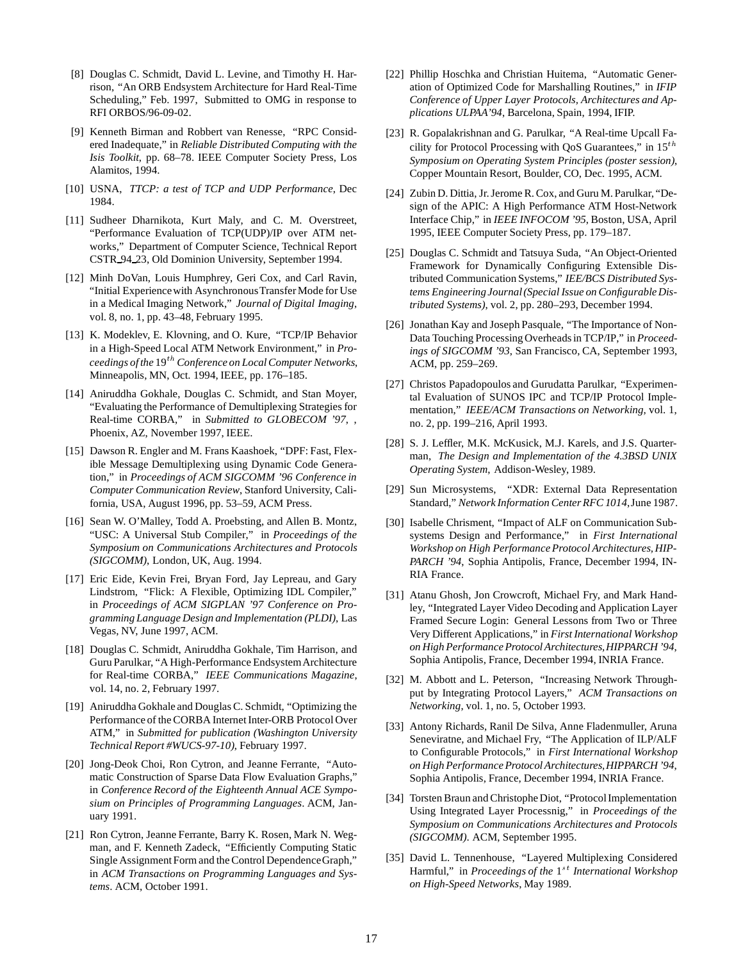- [8] Douglas C. Schmidt, David L. Levine, and Timothy H. Harrison, "An ORB Endsystem Architecture for Hard Real-Time Scheduling," Feb. 1997, Submitted to OMG in response to RFI ORBOS/96-09-02.
- [9] Kenneth Birman and Robbert van Renesse, "RPC Considered Inadequate," in *Reliable Distributed Computing with the Isis Toolkit*, pp. 68–78. IEEE Computer Society Press, Los Alamitos, 1994.
- [10] USNA, *TTCP: a test of TCP and UDP Performance*, Dec 1984.
- [11] Sudheer Dharnikota, Kurt Maly, and C. M. Overstreet, "Performance Evaluation of TCP(UDP)/IP over ATM networks," Department of Computer Science, Technical Report CSTR 94 23, Old Dominion University, September 1994.
- [12] Minh DoVan, Louis Humphrey, Geri Cox, and Carl Ravin, "Initial Experiencewith AsynchronousTransfer Mode for Use in a Medical Imaging Network," *Journal of Digital Imaging*, vol. 8, no. 1, pp. 43–48, February 1995.
- [13] K. Modeklev, E. Klovning, and O. Kure, "TCP/IP Behavior in a High-Speed Local ATM Network Environment," in *Proceedings of the* 19th *Conference on Local Computer Networks*, Minneapolis, MN, Oct. 1994, IEEE, pp. 176–185.
- [14] Aniruddha Gokhale, Douglas C. Schmidt, and Stan Moyer, "Evaluating the Performance of Demultiplexing Strategies for Real-time CORBA," in *Submitted to GLOBECOM '97*, , Phoenix, AZ, November 1997, IEEE.
- [15] Dawson R. Engler and M. Frans Kaashoek, "DPF: Fast, Flexible Message Demultiplexing using Dynamic Code Generation," in *Proceedings of ACM SIGCOMM '96 Conference in Computer Communication Review*, Stanford University, California, USA, August 1996, pp. 53–59, ACM Press.
- [16] Sean W. O'Malley, Todd A. Proebsting, and Allen B. Montz, "USC: A Universal Stub Compiler," in *Proceedings of the Symposium on Communications Architectures and Protocols (SIGCOMM)*, London, UK, Aug. 1994.
- [17] Eric Eide, Kevin Frei, Bryan Ford, Jay Lepreau, and Gary Lindstrom, "Flick: A Flexible, Optimizing IDL Compiler," in *Proceedings of ACM SIGPLAN '97 Conference on Programming Language Design and Implementation (PLDI)*, Las Vegas, NV, June 1997, ACM.
- [18] Douglas C. Schmidt, Aniruddha Gokhale, Tim Harrison, and Guru Parulkar, "A High-Performance EndsystemArchitecture for Real-time CORBA," *IEEE Communications Magazine*, vol. 14, no. 2, February 1997.
- [19] Aniruddha Gokhale and Douglas C. Schmidt, "Optimizing the Performance of the CORBA Internet Inter-ORB Protocol Over ATM," in *Submitted for publication (Washington University Technical Report #WUCS-97-10)*, February 1997.
- [20] Jong-Deok Choi, Ron Cytron, and Jeanne Ferrante, "Automatic Construction of Sparse Data Flow Evaluation Graphs," in *Conference Record of the Eighteenth Annual ACE Symposium on Principles of Programming Languages*. ACM, January 1991.
- [21] Ron Cytron, Jeanne Ferrante, Barry K. Rosen, Mark N. Wegman, and F. Kenneth Zadeck, "Efficiently Computing Static Single Assignment Form and the Control Dependence Graph," in *ACM Transactions on Programming Languages and Systems*. ACM, October 1991.
- [22] Phillip Hoschka and Christian Huitema, "Automatic Generation of Optimized Code for Marshalling Routines," in *IFIP Conference of Upper Layer Protocols, Architectures and Applications ULPAA'94*, Barcelona, Spain, 1994, IFIP.
- [23] R. Gopalakrishnan and G. Parulkar, "A Real-time Upcall Facility for Protocol Processing with QoS Guarantees," in  $15^{th}$ *Symposium on Operating System Principles (poster session)*, Copper Mountain Resort, Boulder, CO, Dec. 1995, ACM.
- [24] Zubin D. Dittia, Jr. Jerome R. Cox, and Guru M. Parulkar, "Design of the APIC: A High Performance ATM Host-Network Interface Chip," in *IEEE INFOCOM '95*, Boston, USA, April 1995, IEEE Computer Society Press, pp. 179–187.
- [25] Douglas C. Schmidt and Tatsuya Suda, "An Object-Oriented Framework for Dynamically Configuring Extensible Distributed Communication Systems," *IEE/BCS Distributed Systems Engineering Journal(Special Issue on Configurable Distributed Systems)*, vol. 2, pp. 280–293, December 1994.
- [26] Jonathan Kay and Joseph Pasquale, "The Importance of Non-Data Touching Processing Overheads in TCP/IP," in *Proceedings of SIGCOMM '93*, San Francisco, CA, September 1993, ACM, pp. 259–269.
- [27] Christos Papadopoulos and Gurudatta Parulkar, "Experimental Evaluation of SUNOS IPC and TCP/IP Protocol Implementation," *IEEE/ACM Transactions on Networking*, vol. 1, no. 2, pp. 199–216, April 1993.
- [28] S. J. Leffler, M.K. McKusick, M.J. Karels, and J.S. Quarterman, *The Design and Implementation of the 4.3BSD UNIX Operating System*, Addison-Wesley, 1989.
- [29] Sun Microsystems, "XDR: External Data Representation Standard," *Network Information Center RFC 1014*,June 1987.
- [30] Isabelle Chrisment, "Impact of ALF on Communication Subsystems Design and Performance," in *First International Workshop on High Performance Protocol Architectures, HIP-PARCH '94*, Sophia Antipolis, France, December 1994, IN-RIA France.
- [31] Atanu Ghosh, Jon Crowcroft, Michael Fry, and Mark Handley, "Integrated Layer Video Decoding and Application Layer Framed Secure Login: General Lessons from Two or Three Very Different Applications," in *First International Workshop on High Performance Protocol Architectures,HIPPARCH '94*, Sophia Antipolis, France, December 1994, INRIA France.
- [32] M. Abbott and L. Peterson, "Increasing Network Throughput by Integrating Protocol Layers," *ACM Transactions on Networking*, vol. 1, no. 5, October 1993.
- [33] Antony Richards, Ranil De Silva, Anne Fladenmuller, Aruna Seneviratne, and Michael Fry, "The Application of ILP/ALF to Configurable Protocols," in *First International Workshop on High Performance Protocol Architectures,HIPPARCH '94*, Sophia Antipolis, France, December 1994, INRIA France.
- [34] Torsten Braun and Christophe Diot, "Protocol Implementation Using Integrated Layer Processnig," in *Proceedings of the Symposium on Communications Architectures and Protocols (SIGCOMM)*. ACM, September 1995.
- [35] David L. Tennenhouse, "Layered Multiplexing Considered Harmful," in *Proceedings of the* 1<sup>st</sup> *International Workshop on High-Speed Networks*, May 1989.